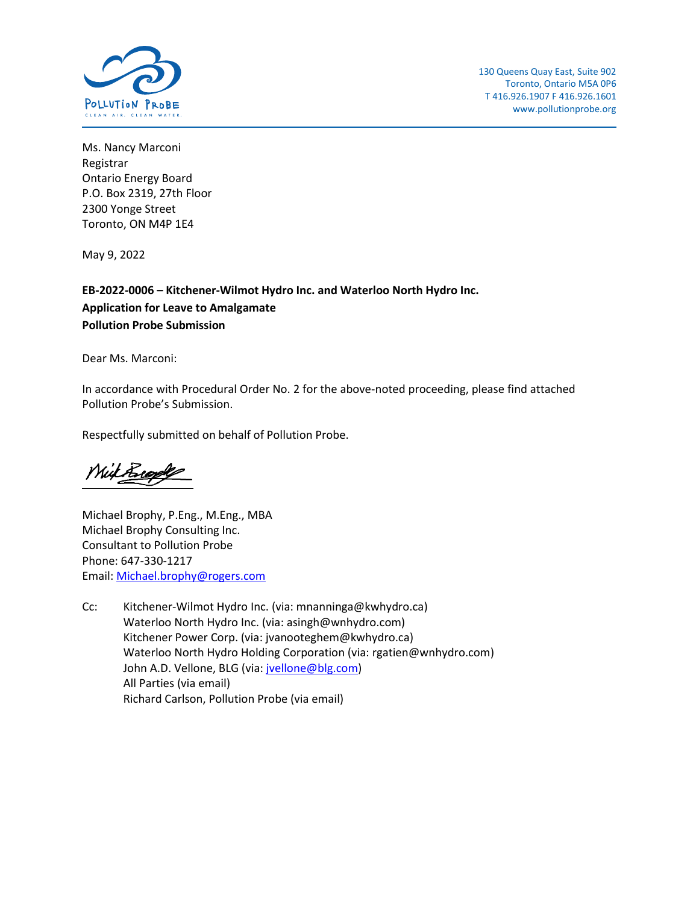

Ms. Nancy Marconi Registrar Ontario Energy Board P.O. Box 2319, 27th Floor 2300 Yonge Street Toronto, ON M4P 1E4

May 9, 2022

**EB-2022-0006 – Kitchener-Wilmot Hydro Inc. and Waterloo North Hydro Inc. Application for Leave to Amalgamate Pollution Probe Submission**

Dear Ms. Marconi:

In accordance with Procedural Order No. 2 for the above-noted proceeding, please find attached Pollution Probe's Submission.

Respectfully submitted on behalf of Pollution Probe.

With Riggles

Michael Brophy, P.Eng., M.Eng., MBA Michael Brophy Consulting Inc. Consultant to Pollution Probe Phone: 647-330-1217 Email: [Michael.brophy@rogers.com](mailto:Michael.brophy@rogers.com)

Cc: Kitchener-Wilmot Hydro Inc. (via: mnanninga@kwhydro.ca) Waterloo North Hydro Inc. (via: asingh@wnhydro.com) Kitchener Power Corp. (via: [jvanooteghem@kwhydro.ca\)](mailto:jvanooteghem@kwhydro.ca) Waterloo North Hydro Holding Corporation (via: [rgatien@wnhydro.com\)](mailto:rgatien@wnhydro.com) John A.D. Vellone, BLG (via: [jvellone@blg.com\)](mailto:jvellone@blg.com) All Parties (via email) Richard Carlson, Pollution Probe (via email)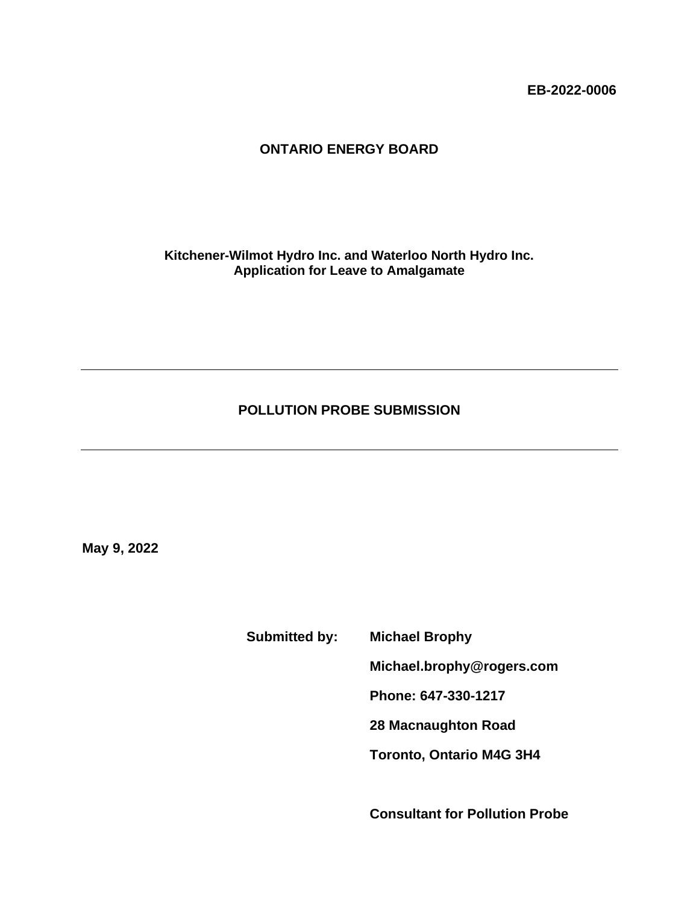**EB-2022-0006**

## **ONTARIO ENERGY BOARD**

**Kitchener-Wilmot Hydro Inc. and Waterloo North Hydro Inc. Application for Leave to Amalgamate**

## **POLLUTION PROBE SUBMISSION**

**May 9, 2022**

**Submitted by: Michael Brophy**

**Michael.brophy@rogers.com**

**Phone: 647-330-1217**

**28 Macnaughton Road**

**Toronto, Ontario M4G 3H4**

**Consultant for Pollution Probe**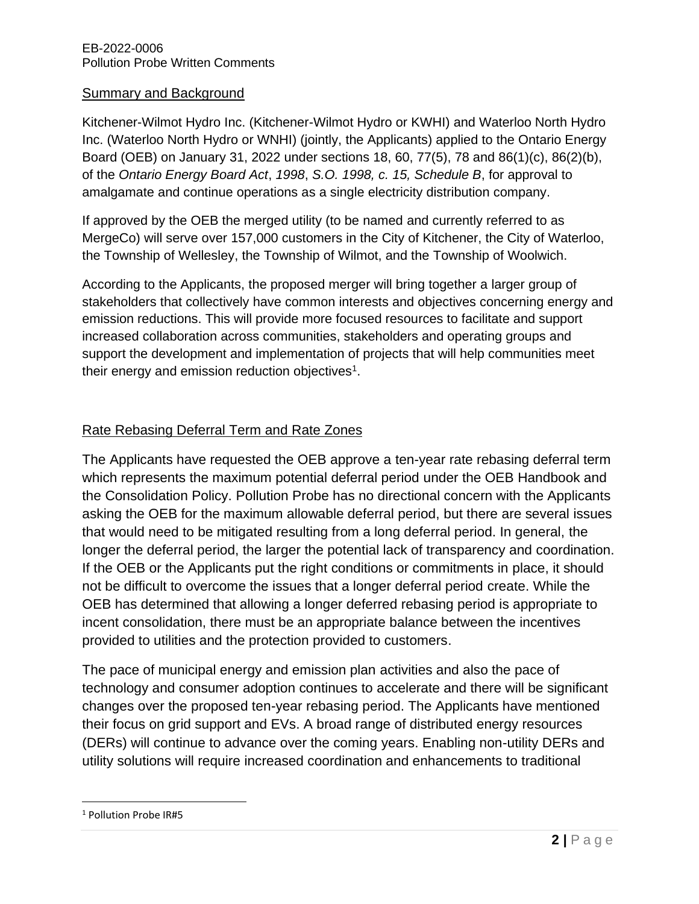### Summary and Background

Kitchener-Wilmot Hydro Inc. (Kitchener-Wilmot Hydro or KWHI) and Waterloo North Hydro Inc. (Waterloo North Hydro or WNHI) (jointly, the Applicants) applied to the Ontario Energy Board (OEB) on January 31, 2022 under sections 18, 60, 77(5), 78 and 86(1)(c), 86(2)(b), of the *Ontario Energy Board Act*, *1998*, *S.O. 1998, c. 15, Schedule B*, for approval to amalgamate and continue operations as a single electricity distribution company.

If approved by the OEB the merged utility (to be named and currently referred to as MergeCo) will serve over 157,000 customers in the City of Kitchener, the City of Waterloo, the Township of Wellesley, the Township of Wilmot, and the Township of Woolwich.

According to the Applicants, the proposed merger will bring together a larger group of stakeholders that collectively have common interests and objectives concerning energy and emission reductions. This will provide more focused resources to facilitate and support increased collaboration across communities, stakeholders and operating groups and support the development and implementation of projects that will help communities meet their energy and emission reduction objectives<sup>1</sup>.

## Rate Rebasing Deferral Term and Rate Zones

The Applicants have requested the OEB approve a ten-year rate rebasing deferral term which represents the maximum potential deferral period under the OEB Handbook and the Consolidation Policy. Pollution Probe has no directional concern with the Applicants asking the OEB for the maximum allowable deferral period, but there are several issues that would need to be mitigated resulting from a long deferral period. In general, the longer the deferral period, the larger the potential lack of transparency and coordination. If the OEB or the Applicants put the right conditions or commitments in place, it should not be difficult to overcome the issues that a longer deferral period create. While the OEB has determined that allowing a longer deferred rebasing period is appropriate to incent consolidation, there must be an appropriate balance between the incentives provided to utilities and the protection provided to customers.

The pace of municipal energy and emission plan activities and also the pace of technology and consumer adoption continues to accelerate and there will be significant changes over the proposed ten-year rebasing period. The Applicants have mentioned their focus on grid support and EVs. A broad range of distributed energy resources (DERs) will continue to advance over the coming years. Enabling non-utility DERs and utility solutions will require increased coordination and enhancements to traditional

<sup>1</sup> Pollution Probe IR#5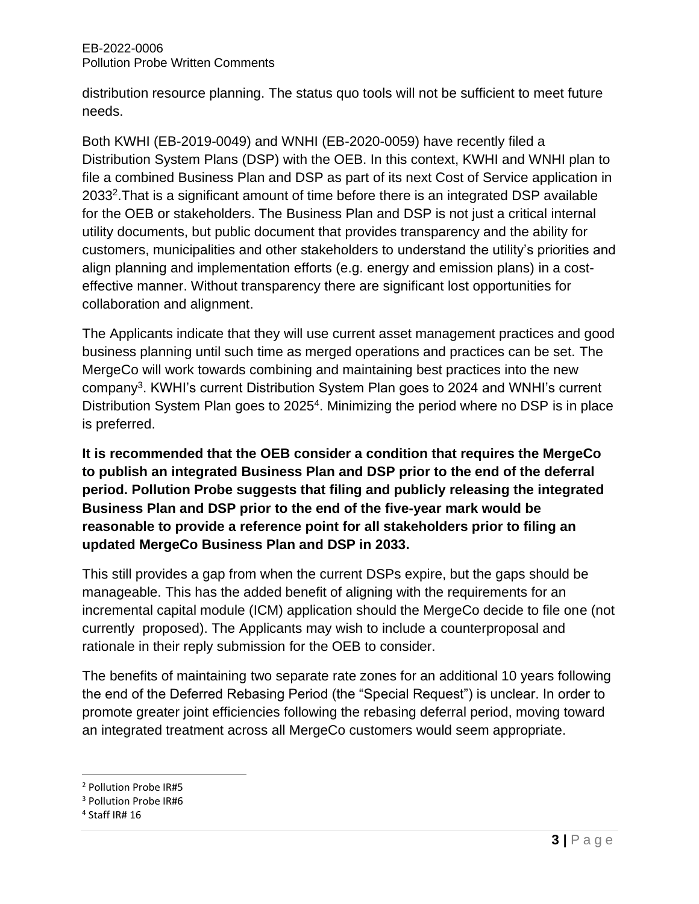distribution resource planning. The status quo tools will not be sufficient to meet future needs.

Both KWHI (EB-2019-0049) and WNHI (EB-2020-0059) have recently filed a Distribution System Plans (DSP) with the OEB. In this context, KWHI and WNHI plan to file a combined Business Plan and DSP as part of its next Cost of Service application in 2033<sup>2</sup>. That is a significant amount of time before there is an integrated DSP available for the OEB or stakeholders. The Business Plan and DSP is not just a critical internal utility documents, but public document that provides transparency and the ability for customers, municipalities and other stakeholders to understand the utility's priorities and align planning and implementation efforts (e.g. energy and emission plans) in a costeffective manner. Without transparency there are significant lost opportunities for collaboration and alignment.

The Applicants indicate that they will use current asset management practices and good business planning until such time as merged operations and practices can be set. The MergeCo will work towards combining and maintaining best practices into the new company<sup>3</sup>. KWHI's current Distribution System Plan goes to 2024 and WNHI's current Distribution System Plan goes to 2025<sup>4</sup>. Minimizing the period where no DSP is in place is preferred.

**It is recommended that the OEB consider a condition that requires the MergeCo to publish an integrated Business Plan and DSP prior to the end of the deferral period. Pollution Probe suggests that filing and publicly releasing the integrated Business Plan and DSP prior to the end of the five-year mark would be reasonable to provide a reference point for all stakeholders prior to filing an updated MergeCo Business Plan and DSP in 2033.**

This still provides a gap from when the current DSPs expire, but the gaps should be manageable. This has the added benefit of aligning with the requirements for an incremental capital module (ICM) application should the MergeCo decide to file one (not currently proposed). The Applicants may wish to include a counterproposal and rationale in their reply submission for the OEB to consider.

The benefits of maintaining two separate rate zones for an additional 10 years following the end of the Deferred Rebasing Period (the "Special Request") is unclear. In order to promote greater joint efficiencies following the rebasing deferral period, moving toward an integrated treatment across all MergeCo customers would seem appropriate.

<sup>2</sup> Pollution Probe IR#5

<sup>&</sup>lt;sup>3</sup> Pollution Probe IR#6

<sup>4</sup> Staff IR# 16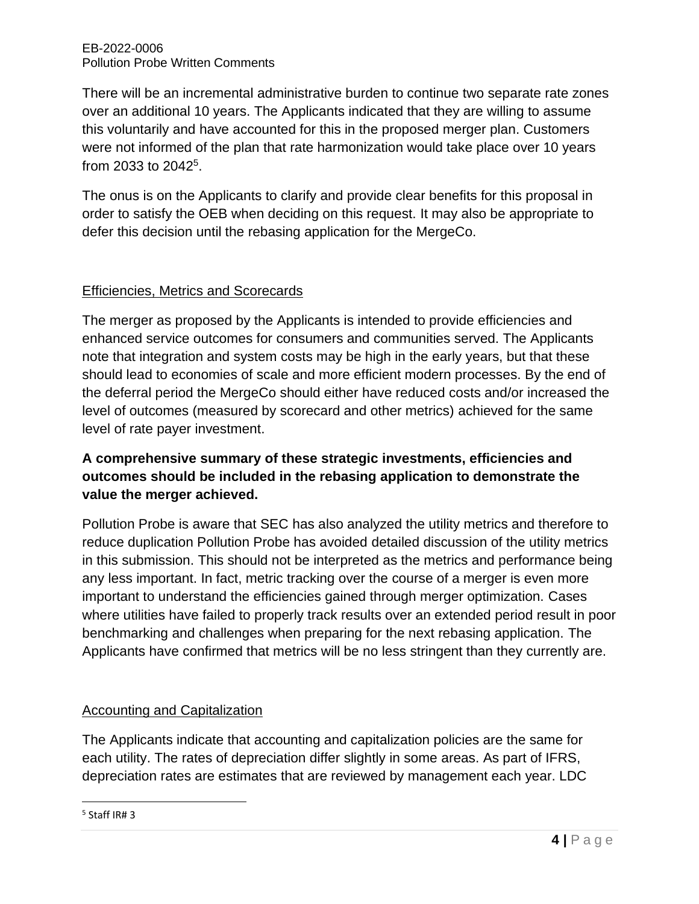There will be an incremental administrative burden to continue two separate rate zones over an additional 10 years. The Applicants indicated that they are willing to assume this voluntarily and have accounted for this in the proposed merger plan. Customers were not informed of the plan that rate harmonization would take place over 10 years from 2033 to 2042<sup>5</sup>.

The onus is on the Applicants to clarify and provide clear benefits for this proposal in order to satisfy the OEB when deciding on this request. It may also be appropriate to defer this decision until the rebasing application for the MergeCo.

## Efficiencies, Metrics and Scorecards

The merger as proposed by the Applicants is intended to provide efficiencies and enhanced service outcomes for consumers and communities served. The Applicants note that integration and system costs may be high in the early years, but that these should lead to economies of scale and more efficient modern processes. By the end of the deferral period the MergeCo should either have reduced costs and/or increased the level of outcomes (measured by scorecard and other metrics) achieved for the same level of rate payer investment.

# **A comprehensive summary of these strategic investments, efficiencies and outcomes should be included in the rebasing application to demonstrate the value the merger achieved.**

Pollution Probe is aware that SEC has also analyzed the utility metrics and therefore to reduce duplication Pollution Probe has avoided detailed discussion of the utility metrics in this submission. This should not be interpreted as the metrics and performance being any less important. In fact, metric tracking over the course of a merger is even more important to understand the efficiencies gained through merger optimization. Cases where utilities have failed to properly track results over an extended period result in poor benchmarking and challenges when preparing for the next rebasing application. The Applicants have confirmed that metrics will be no less stringent than they currently are.

## Accounting and Capitalization

The Applicants indicate that accounting and capitalization policies are the same for each utility. The rates of depreciation differ slightly in some areas. As part of IFRS, depreciation rates are estimates that are reviewed by management each year. LDC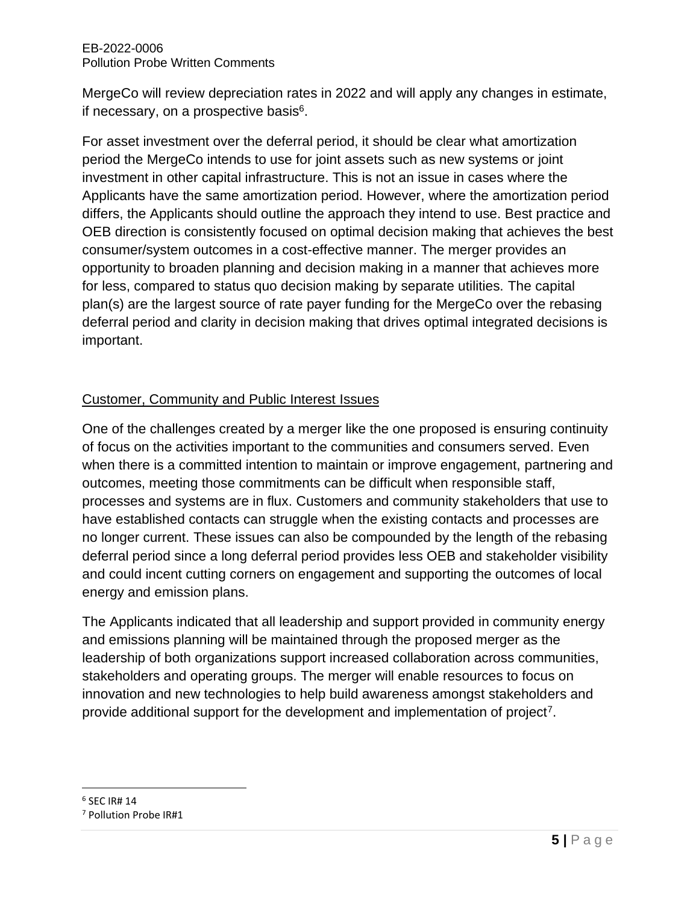MergeCo will review depreciation rates in 2022 and will apply any changes in estimate, if necessary, on a prospective basis<sup>6</sup>.

For asset investment over the deferral period, it should be clear what amortization period the MergeCo intends to use for joint assets such as new systems or joint investment in other capital infrastructure. This is not an issue in cases where the Applicants have the same amortization period. However, where the amortization period differs, the Applicants should outline the approach they intend to use. Best practice and OEB direction is consistently focused on optimal decision making that achieves the best consumer/system outcomes in a cost-effective manner. The merger provides an opportunity to broaden planning and decision making in a manner that achieves more for less, compared to status quo decision making by separate utilities. The capital plan(s) are the largest source of rate payer funding for the MergeCo over the rebasing deferral period and clarity in decision making that drives optimal integrated decisions is important.

## Customer, Community and Public Interest Issues

One of the challenges created by a merger like the one proposed is ensuring continuity of focus on the activities important to the communities and consumers served. Even when there is a committed intention to maintain or improve engagement, partnering and outcomes, meeting those commitments can be difficult when responsible staff, processes and systems are in flux. Customers and community stakeholders that use to have established contacts can struggle when the existing contacts and processes are no longer current. These issues can also be compounded by the length of the rebasing deferral period since a long deferral period provides less OEB and stakeholder visibility and could incent cutting corners on engagement and supporting the outcomes of local energy and emission plans.

The Applicants indicated that all leadership and support provided in community energy and emissions planning will be maintained through the proposed merger as the leadership of both organizations support increased collaboration across communities, stakeholders and operating groups. The merger will enable resources to focus on innovation and new technologies to help build awareness amongst stakeholders and provide additional support for the development and implementation of project<sup>7</sup>.

 $^6$  SEC IR# 14

<sup>7</sup> Pollution Probe IR#1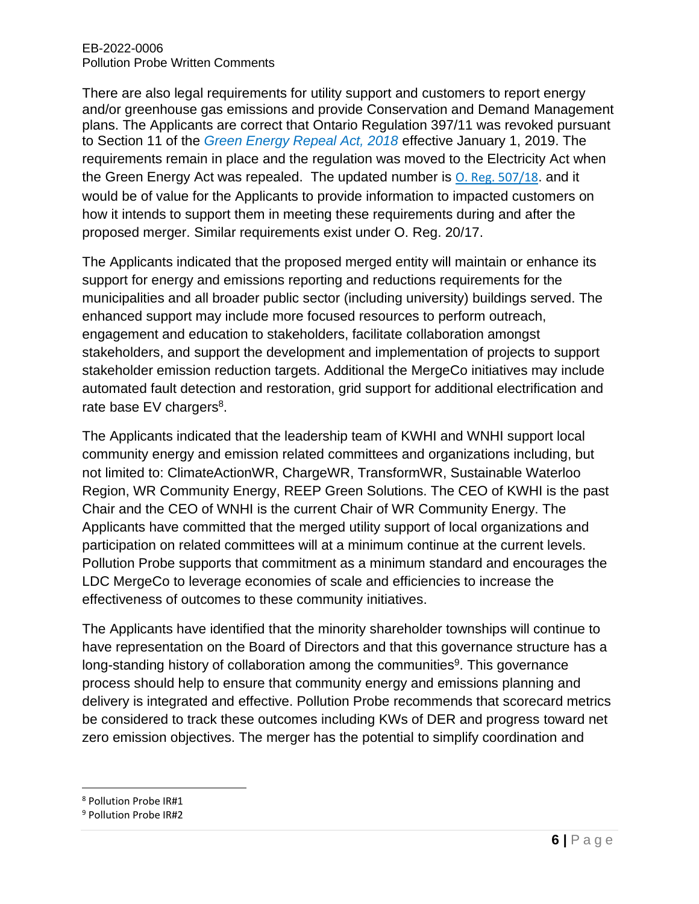There are also legal requirements for utility support and customers to report energy and/or greenhouse gas emissions and provide Conservation and Demand Management plans. The Applicants are correct that Ontario Regulation 397/11 was revoked pursuant to Section 11 of the *Green Energy Repeal Act, 2018* effective January 1, 2019. The requirements remain in place and the regulation was moved to the Electricity Act when the Green Energy Act was repealed. The updated number is [O. Reg. 507/18](https://www.ontario.ca/laws/regulation/r18507). and it would be of value for the Applicants to provide information to impacted customers on how it intends to support them in meeting these requirements during and after the proposed merger. Similar requirements exist under O. Reg. 20/17.

The Applicants indicated that the proposed merged entity will maintain or enhance its support for energy and emissions reporting and reductions requirements for the municipalities and all broader public sector (including university) buildings served. The enhanced support may include more focused resources to perform outreach, engagement and education to stakeholders, facilitate collaboration amongst stakeholders, and support the development and implementation of projects to support stakeholder emission reduction targets. Additional the MergeCo initiatives may include automated fault detection and restoration, grid support for additional electrification and rate base  $EV$  chargers<sup>8</sup>.

The Applicants indicated that the leadership team of KWHI and WNHI support local community energy and emission related committees and organizations including, but not limited to: ClimateActionWR, ChargeWR, TransformWR, Sustainable Waterloo Region, WR Community Energy, REEP Green Solutions. The CEO of KWHI is the past Chair and the CEO of WNHI is the current Chair of WR Community Energy. The Applicants have committed that the merged utility support of local organizations and participation on related committees will at a minimum continue at the current levels. Pollution Probe supports that commitment as a minimum standard and encourages the LDC MergeCo to leverage economies of scale and efficiencies to increase the effectiveness of outcomes to these community initiatives.

The Applicants have identified that the minority shareholder townships will continue to have representation on the Board of Directors and that this governance structure has a long-standing history of collaboration among the communities<sup>9</sup>. This governance process should help to ensure that community energy and emissions planning and delivery is integrated and effective. Pollution Probe recommends that scorecard metrics be considered to track these outcomes including KWs of DER and progress toward net zero emission objectives. The merger has the potential to simplify coordination and

<sup>8</sup> Pollution Probe IR#1

<sup>9</sup> Pollution Probe IR#2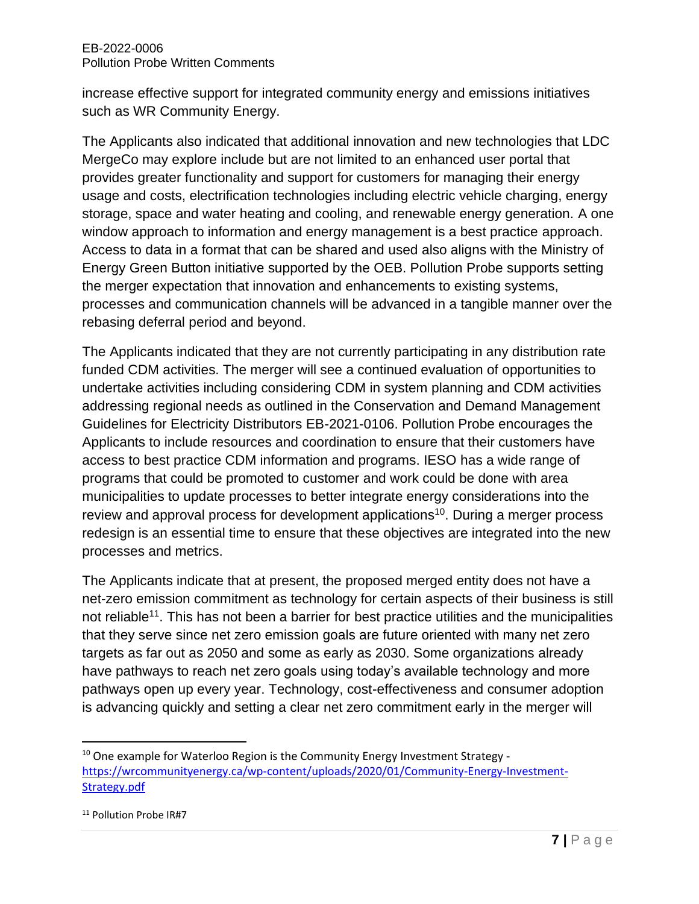increase effective support for integrated community energy and emissions initiatives such as WR Community Energy.

The Applicants also indicated that additional innovation and new technologies that LDC MergeCo may explore include but are not limited to an enhanced user portal that provides greater functionality and support for customers for managing their energy usage and costs, electrification technologies including electric vehicle charging, energy storage, space and water heating and cooling, and renewable energy generation. A one window approach to information and energy management is a best practice approach. Access to data in a format that can be shared and used also aligns with the Ministry of Energy Green Button initiative supported by the OEB. Pollution Probe supports setting the merger expectation that innovation and enhancements to existing systems, processes and communication channels will be advanced in a tangible manner over the rebasing deferral period and beyond.

The Applicants indicated that they are not currently participating in any distribution rate funded CDM activities. The merger will see a continued evaluation of opportunities to undertake activities including considering CDM in system planning and CDM activities addressing regional needs as outlined in the Conservation and Demand Management Guidelines for Electricity Distributors EB-2021-0106. Pollution Probe encourages the Applicants to include resources and coordination to ensure that their customers have access to best practice CDM information and programs. IESO has a wide range of programs that could be promoted to customer and work could be done with area municipalities to update processes to better integrate energy considerations into the review and approval process for development applications<sup>10</sup>. During a merger process redesign is an essential time to ensure that these objectives are integrated into the new processes and metrics.

The Applicants indicate that at present, the proposed merged entity does not have a net-zero emission commitment as technology for certain aspects of their business is still not reliable<sup>11</sup>. This has not been a barrier for best practice utilities and the municipalities that they serve since net zero emission goals are future oriented with many net zero targets as far out as 2050 and some as early as 2030. Some organizations already have pathways to reach net zero goals using today's available technology and more pathways open up every year. Technology, cost-effectiveness and consumer adoption is advancing quickly and setting a clear net zero commitment early in the merger will

 $10$  One example for Waterloo Region is the Community Energy Investment Strategy [https://wrcommunityenergy.ca/wp-content/uploads/2020/01/Community-Energy-Investment-](https://wrcommunityenergy.ca/wp-content/uploads/2020/01/Community-Energy-Investment-Strategy.pdf)[Strategy.pdf](https://wrcommunityenergy.ca/wp-content/uploads/2020/01/Community-Energy-Investment-Strategy.pdf)

<sup>&</sup>lt;sup>11</sup> Pollution Probe IR#7